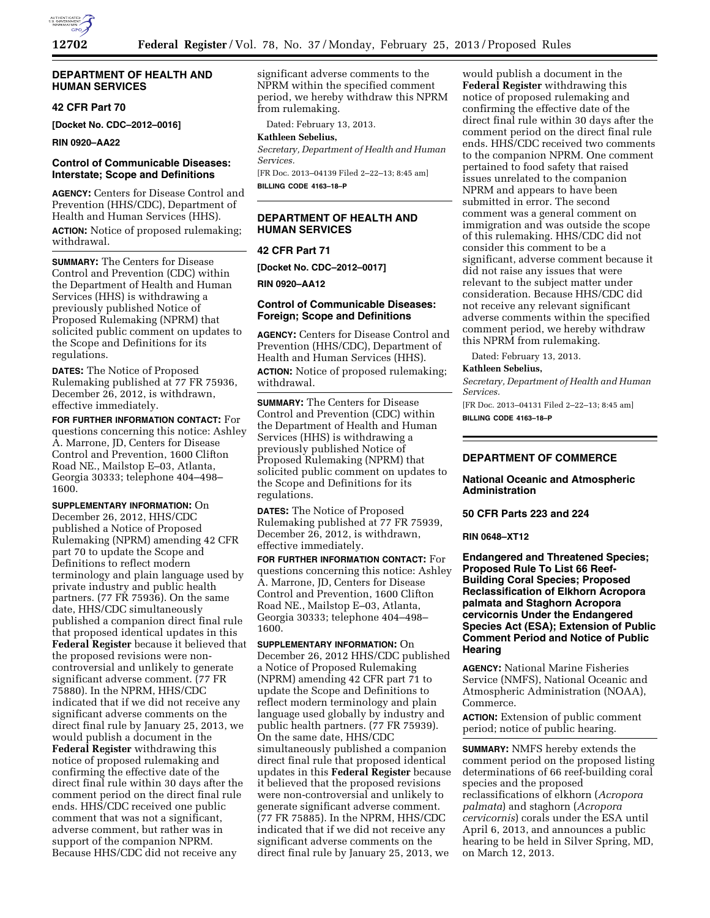

## **DEPARTMENT OF HEALTH AND HUMAN SERVICES**

# **42 CFR Part 70**

**[Docket No. CDC–2012–0016]** 

**RIN 0920–AA22** 

# **Control of Communicable Diseases: Interstate; Scope and Definitions**

**AGENCY:** Centers for Disease Control and Prevention (HHS/CDC), Department of Health and Human Services (HHS). **ACTION:** Notice of proposed rulemaking; withdrawal.

**SUMMARY:** The Centers for Disease Control and Prevention (CDC) within the Department of Health and Human Services (HHS) is withdrawing a previously published Notice of Proposed Rulemaking (NPRM) that solicited public comment on updates to the Scope and Definitions for its regulations.

**DATES:** The Notice of Proposed Rulemaking published at 77 FR 75936, December 26, 2012, is withdrawn, effective immediately.

**FOR FURTHER INFORMATION CONTACT:** For questions concerning this notice: Ashley A. Marrone, JD, Centers for Disease Control and Prevention, 1600 Clifton Road NE., Mailstop E–03, Atlanta, Georgia 30333; telephone 404–498– 1600.

**SUPPLEMENTARY INFORMATION:** On December 26, 2012, HHS/CDC published a Notice of Proposed Rulemaking (NPRM) amending 42 CFR part 70 to update the Scope and Definitions to reflect modern terminology and plain language used by private industry and public health partners. (77 FR 75936). On the same date, HHS/CDC simultaneously published a companion direct final rule that proposed identical updates in this **Federal Register** because it believed that the proposed revisions were noncontroversial and unlikely to generate significant adverse comment. (77 FR 75880). In the NPRM, HHS/CDC indicated that if we did not receive any significant adverse comments on the direct final rule by January 25, 2013, we would publish a document in the **Federal Register** withdrawing this notice of proposed rulemaking and confirming the effective date of the direct final rule within 30 days after the comment period on the direct final rule ends. HHS/CDC received one public comment that was not a significant, adverse comment, but rather was in support of the companion NPRM. Because HHS/CDC did not receive any

significant adverse comments to the NPRM within the specified comment period, we hereby withdraw this NPRM from rulemaking.

Dated: February 13, 2013.

#### **Kathleen Sebelius,**

*Secretary, Department of Health and Human Services.* 

[FR Doc. 2013–04139 Filed 2–22–13; 8:45 am] **BILLING CODE 4163–18–P** 

# **DEPARTMENT OF HEALTH AND HUMAN SERVICES**

## **42 CFR Part 71**

**[Docket No. CDC–2012–0017]** 

**RIN 0920–AA12** 

# **Control of Communicable Diseases: Foreign; Scope and Definitions**

**AGENCY:** Centers for Disease Control and Prevention (HHS/CDC), Department of Health and Human Services (HHS). **ACTION:** Notice of proposed rulemaking; withdrawal.

**SUMMARY:** The Centers for Disease Control and Prevention (CDC) within the Department of Health and Human Services (HHS) is withdrawing a previously published Notice of Proposed Rulemaking (NPRM) that solicited public comment on updates to the Scope and Definitions for its regulations.

**DATES:** The Notice of Proposed Rulemaking published at 77 FR 75939, December 26, 2012, is withdrawn, effective immediately.

**FOR FURTHER INFORMATION CONTACT:** For questions concerning this notice: Ashley A. Marrone, JD, Centers for Disease Control and Prevention, 1600 Clifton Road NE., Mailstop E–03, Atlanta, Georgia 30333; telephone 404–498– 1600.

**SUPPLEMENTARY INFORMATION:** On December 26, 2012 HHS/CDC published a Notice of Proposed Rulemaking (NPRM) amending 42 CFR part 71 to update the Scope and Definitions to reflect modern terminology and plain language used globally by industry and public health partners. (77 FR 75939). On the same date, HHS/CDC simultaneously published a companion direct final rule that proposed identical updates in this **Federal Register** because it believed that the proposed revisions were non-controversial and unlikely to generate significant adverse comment. (77 FR 75885). In the NPRM, HHS/CDC indicated that if we did not receive any significant adverse comments on the direct final rule by January 25, 2013, we

would publish a document in the **Federal Register** withdrawing this notice of proposed rulemaking and confirming the effective date of the direct final rule within 30 days after the comment period on the direct final rule ends. HHS/CDC received two comments to the companion NPRM. One comment pertained to food safety that raised issues unrelated to the companion NPRM and appears to have been submitted in error. The second comment was a general comment on immigration and was outside the scope of this rulemaking. HHS/CDC did not consider this comment to be a significant, adverse comment because it did not raise any issues that were relevant to the subject matter under consideration. Because HHS/CDC did not receive any relevant significant adverse comments within the specified comment period, we hereby withdraw this NPRM from rulemaking.

Dated: February 13, 2013.

#### **Kathleen Sebelius,**

*Secretary, Department of Health and Human Services.* 

[FR Doc. 2013–04131 Filed 2–22–13; 8:45 am] **BILLING CODE 4163–18–P** 

# **DEPARTMENT OF COMMERCE**

## **National Oceanic and Atmospheric Administration**

**50 CFR Parts 223 and 224** 

#### **RIN 0648–XT12**

**Endangered and Threatened Species; Proposed Rule To List 66 Reef-Building Coral Species; Proposed Reclassification of Elkhorn Acropora palmata and Staghorn Acropora cervicornis Under the Endangered Species Act (ESA); Extension of Public Comment Period and Notice of Public Hearing** 

**AGENCY:** National Marine Fisheries Service (NMFS), National Oceanic and Atmospheric Administration (NOAA), Commerce.

**ACTION:** Extension of public comment period; notice of public hearing.

**SUMMARY:** NMFS hereby extends the comment period on the proposed listing determinations of 66 reef-building coral species and the proposed reclassifications of elkhorn (*Acropora palmata*) and staghorn (*Acropora cervicornis*) corals under the ESA until April 6, 2013, and announces a public hearing to be held in Silver Spring, MD, on March 12, 2013.